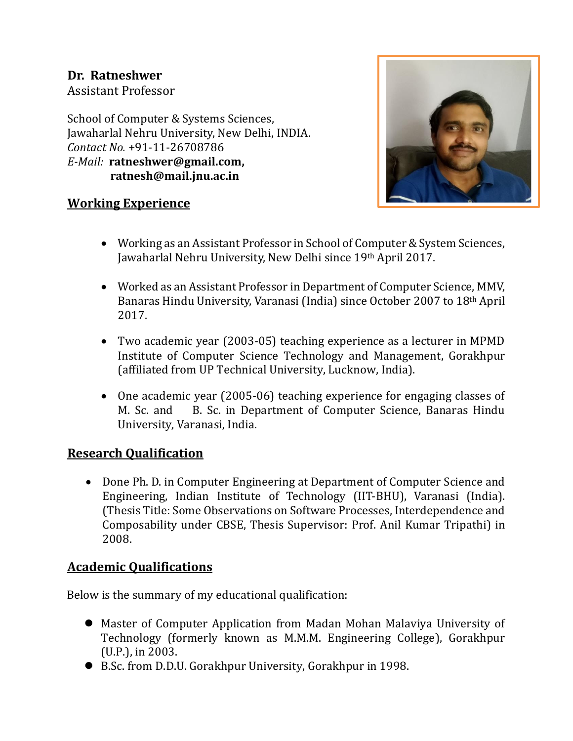# **Dr. Ratneshwer**

Assistant Professor

School of Computer & Systems Sciences, Jawaharlal Nehru University, New Delhi, INDIA. *Contact No.* +91-11-26708786 *E-Mail:* **[ratneshwer@gmail.com,](mailto:ratneshwer@gmail.com) ratnesh@mail.jnu.ac.in**



#### **Working Experience**

- Working as an Assistant Professor in School of Computer & System Sciences, Jawaharlal Nehru University, New Delhi since 19th April 2017.
- Worked as an Assistant Professor in Department of Computer Science, MMV, Banaras Hindu University, Varanasi (India) since October 2007 to 18th April 2017.
- Two academic year (2003-05) teaching experience as a lecturer in MPMD Institute of Computer Science Technology and Management, Gorakhpur (affiliated from UP Technical University, Lucknow, India).
- One academic year (2005-06) teaching experience for engaging classes of M. Sc. and B. Sc. in Department of Computer Science, Banaras Hindu University, Varanasi, India.

#### **Research Qualification**

• Done Ph. D. in Computer Engineering at Department of Computer Science and Engineering, Indian Institute of Technology (IIT-BHU), Varanasi (India). (Thesis Title: Some Observations on Software Processes, Interdependence and Composability under CBSE, Thesis Supervisor: Prof. Anil Kumar Tripathi) in 2008.

## **Academic Qualifications**

Below is the summary of my educational qualification:

- Master of Computer Application from Madan Mohan Malaviya University of Technology (formerly known as M.M.M. Engineering College), Gorakhpur (U.P.), in 2003.
- B.Sc. from D.D.U. Gorakhpur University, Gorakhpur in 1998.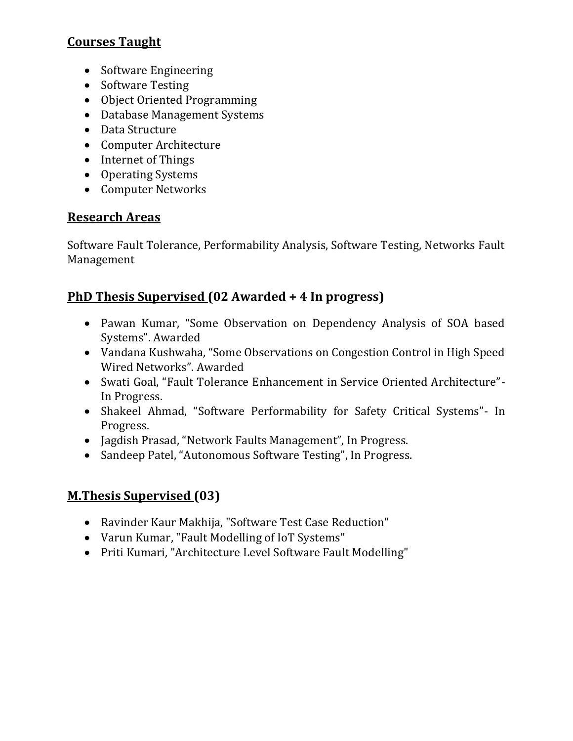# **Courses Taught**

- Software Engineering
- Software Testing
- Object Oriented Programming
- Database Management Systems
- Data Structure
- Computer Architecture
- Internet of Things
- Operating Systems
- Computer Networks

#### **Research Areas**

Software Fault Tolerance, Performability Analysis, Software Testing, Networks Fault Management

## **PhD Thesis Supervised (02 Awarded + 4 In progress)**

- Pawan Kumar, "Some Observation on Dependency Analysis of SOA based Systems". Awarded
- Vandana Kushwaha, "Some Observations on Congestion Control in High Speed Wired Networks". Awarded
- Swati Goal, "Fault Tolerance Enhancement in Service Oriented Architecture"- In Progress.
- Shakeel Ahmad, "Software Performability for Safety Critical Systems"- In Progress.
- Jagdish Prasad, "Network Faults Management", In Progress.
- Sandeep Patel, "Autonomous Software Testing", In Progress.

## **M.Thesis Supervised (03)**

- Ravinder Kaur Makhija, "Software Test Case Reduction"
- Varun Kumar, "Fault Modelling of IoT Systems"
- Priti Kumari, "Architecture Level Software Fault Modelling"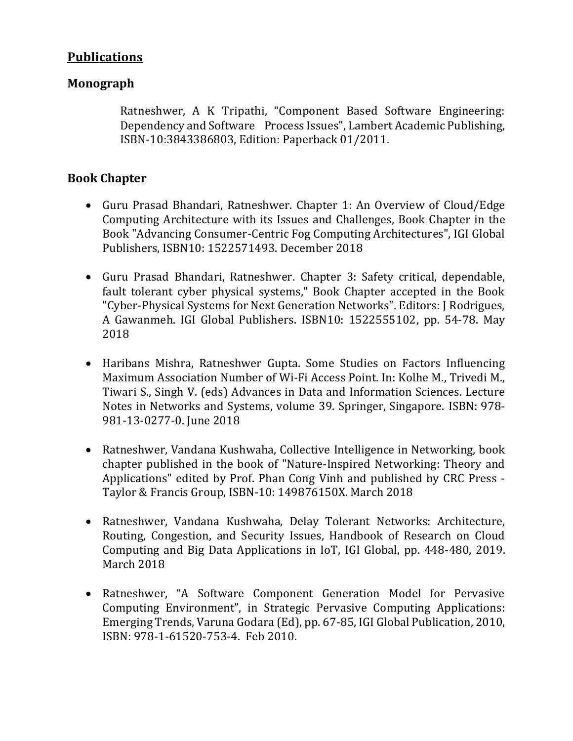## **Publications**

#### **Monograph**

Ratneshwer, A K Tripathi, "Component Based Software Engineering: Dependency and Software Process Issues", Lambert Academic Publishing, ISBN-10:3843386803, Edition: Paperback 01/2011.

#### **Book Chapter**

- Guru Prasad Bhandari, Ratneshwer. Chapter 1: An Overview of Cloud/Edge Computing Architecture with its Issues and Challenges, Book Chapter in the Book "Advancing Consumer-Centric Fog Computing Architectures", IGI Global Publishers, ISBN10: 1522571493. December 2018
- Guru Prasad Bhandari, Ratneshwer. Chapter 3: Safety critical, dependable, fault tolerant cyber physical systems," Book Chapter accepted in the Book "Cyber-Physical Systems for Next Generation Networks". Editors: J Rodrigues, A Gawanmeh. IGI Global Publishers. ISBN10: 1522555102, pp. 54-78. May 2018
- Haribans Mishra, Ratneshwer Gupta. Some Studies on Factors Influencing Maximum Association Number of Wi-Fi Access Point. In: Kolhe M., Trivedi M., Tiwari S., Singh V. (eds) Advances in Data and Information Sciences. Lecture Notes in Networks and Systems, volume 39. Springer, Singapore. ISBN: 978- 981-13-0277-0. June 2018
- Ratneshwer, Vandana Kushwaha, Collective Intelligence in Networking, book chapter published in the book of "Nature-Inspired Networking: Theory and Applications" edited by Prof. Phan Cong Vinh and published by CRC Press - Taylor & Francis Group, ISBN-10: 149876150X. March 2018
- Ratneshwer, Vandana Kushwaha, Delay Tolerant Networks: Architecture, Routing, Congestion, and Security Issues, Handbook of Research on Cloud Computing and Big Data Applications in IoT, IGI Global, pp. 448-480, 2019. March 2018
- Ratneshwer, "A Software Component Generation Model for Pervasive Computing Environment", in Strategic Pervasive Computing Applications: Emerging Trends, Varuna Godara (Ed), pp. 67-85, IGI Global Publication, 2010, ISBN: 978-1-61520-753-4. Feb 2010.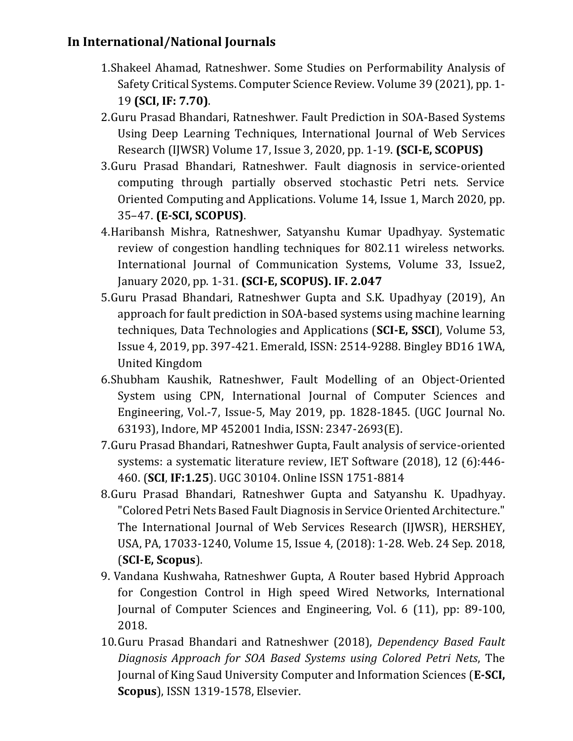# **In International/National Journals**

- 1.Shakeel Ahamad, Ratneshwer. Some Studies on Performability Analysis of Safety Critical Systems. Computer Science Review. Volume 39 (2021), pp. 1- 19 **(SCI, IF: 7.70)**.
- 2.Guru Prasad Bhandari, Ratneshwer. Fault Prediction in SOA-Based Systems Using Deep Learning Techniques, International Journal of Web Services Research (IJWSR) Volume 17, Issue 3, 2020, pp. 1-19. **(SCI-E, SCOPUS)**
- 3.Guru Prasad Bhandari, Ratneshwer. Fault diagnosis in service-oriented computing through partially observed stochastic Petri nets. Service Oriented Computing and Applications. Volume 14, Issue 1, March 2020, pp. 35–47. **(E-SCI, SCOPUS)**.
- 4.Haribansh Mishra, Ratneshwer, Satyanshu Kumar Upadhyay. Systematic review of congestion handling techniques for 802.11 wireless networks. International Journal of Communication Systems, Volume 33, Issue2, January 2020, pp. 1-31. **(SCI-E, SCOPUS). IF. 2.047**
- 5.Guru Prasad Bhandari, Ratneshwer Gupta and S.K. Upadhyay (2019), An approach for fault prediction in SOA-based systems using machine learning techniques, Data Technologies and Applications (**SCI-E, SSCI**), Volume 53, Issue 4, 2019, pp. 397-421. Emerald, ISSN: 2514-9288. Bingley BD16 1WA, United Kingdom
- 6.Shubham Kaushik, Ratneshwer, Fault Modelling of an Object-Oriented System using CPN, International Journal of Computer Sciences and Engineering, Vol.-7, Issue-5, May 2019, pp. 1828-1845. (UGC Journal No. 63193), Indore, MP 452001 India, ISSN: 2347-2693(E).
- 7.Guru Prasad Bhandari, Ratneshwer Gupta, Fault analysis of service-oriented systems: a systematic literature review, IET Software (2018), 12 (6):446- 460. (**SCI**, **IF:1.25**). UGC 30104. Online ISSN 1751-8814
- 8.Guru Prasad Bhandari, Ratneshwer Gupta and Satyanshu K. Upadhyay. "Colored Petri Nets Based Fault Diagnosis in Service Oriented Architecture." The International Journal of Web Services Research (IJWSR), HERSHEY, USA, PA, 17033-1240, Volume 15, Issue 4, (2018): 1-28. Web. 24 Sep. 2018, (**SCI-E, Scopus**).
- 9. Vandana Kushwaha, Ratneshwer Gupta, A Router based Hybrid Approach for Congestion Control in High speed Wired Networks, International Journal of Computer Sciences and Engineering, Vol. 6 (11), pp: 89-100, 2018.
- 10.Guru Prasad Bhandari and Ratneshwer (2018), *Dependency Based Fault Diagnosis Approach for SOA Based Systems using Colored Petri Nets*, The Journal of King Saud University Computer and Information Sciences (**E-SCI, Scopus**), ISSN 1319-1578, Elsevier.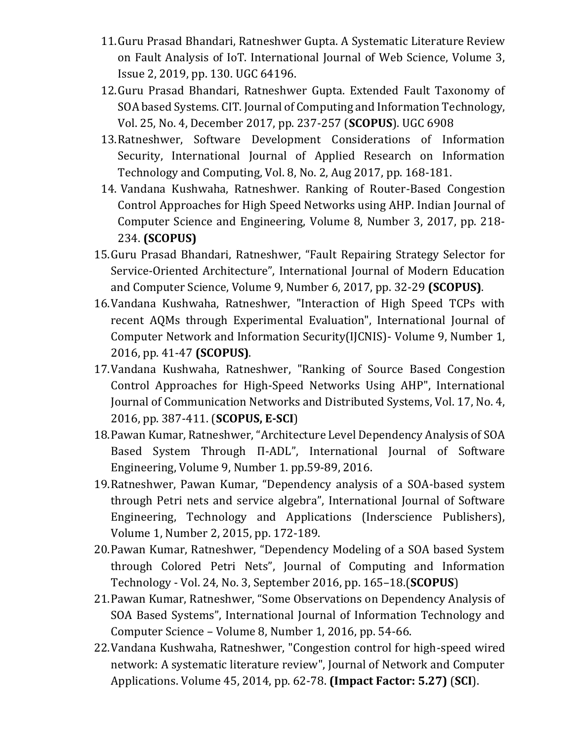- 11.Guru Prasad Bhandari, Ratneshwer Gupta. A Systematic Literature Review on Fault Analysis of IoT. International Journal of Web Science, Volume 3, Issue 2, 2019, pp. 130. UGC 64196.
- 12.Guru Prasad Bhandari, Ratneshwer Gupta. Extended Fault Taxonomy of SOA based Systems. CIT. Journal of Computing and Information Technology, Vol. 25, No. 4, December 2017, pp. 237-257 (**SCOPUS**). UGC 6908
- 13.Ratneshwer, Software Development Considerations of Information Security, International Journal of Applied Research on Information Technology and Computing, Vol. 8, No. 2, Aug 2017, pp. 168-181.
- 14. Vandana Kushwaha, Ratneshwer. Ranking of Router-Based Congestion Control Approaches for High Speed Networks using AHP. Indian Journal of Computer Science and Engineering, Volume 8, Number 3, 2017, pp. 218- 234. **(SCOPUS)**
- 15.Guru Prasad Bhandari, Ratneshwer, "Fault Repairing Strategy Selector for Service-Oriented Architecture", International Journal of Modern Education and Computer Science, Volume 9, Number 6, 2017, pp. 32-29 **(SCOPUS)**.
- 16.Vandana Kushwaha, Ratneshwer, "Interaction of High Speed TCPs with recent AQMs through Experimental Evaluation", International Journal of Computer Network and Information Security(IJCNIS)- Volume 9, Number 1, 2016, pp. 41-47 **(SCOPUS)**.
- 17.Vandana Kushwaha, Ratneshwer, "Ranking of Source Based Congestion Control Approaches for High-Speed Networks Using AHP", International Journal of Communication Networks and Distributed Systems, Vol. 17, No. 4, 2016, pp. 387-411. (**SCOPUS, E-SCI**)
- 18.Pawan Kumar, Ratneshwer, "Architecture Level Dependency Analysis of SOA Based System Through Π-ADL", International Journal of Software Engineering, Volume 9, Number 1. pp.59-89, 2016.
- 19.Ratneshwer, Pawan Kumar, "Dependency analysis of a SOA-based system through Petri nets and service algebra", International Journal of Software Engineering, Technology and Applications (Inderscience Publishers), Volume 1, Number 2, 2015, pp. 172-189.
- 20.Pawan Kumar, Ratneshwer, "Dependency Modeling of a SOA based System through Colored Petri Nets", Journal of Computing and Information Technology - Vol. 24, No. 3, September 2016, pp. 165–18.(**SCOPUS**)
- 21.Pawan Kumar, Ratneshwer, "Some Observations on Dependency Analysis of SOA Based Systems", International Journal of Information Technology and Computer Science – Volume 8, Number 1, 2016, pp. 54-66.
- 22.Vandana Kushwaha, Ratneshwer, "Congestion control for high-speed wired network: A systematic literature review", Journal of Network and Computer Applications. Volume 45, 2014, pp. 62-78. **(Impact Factor: 5.27)** (**SCI**).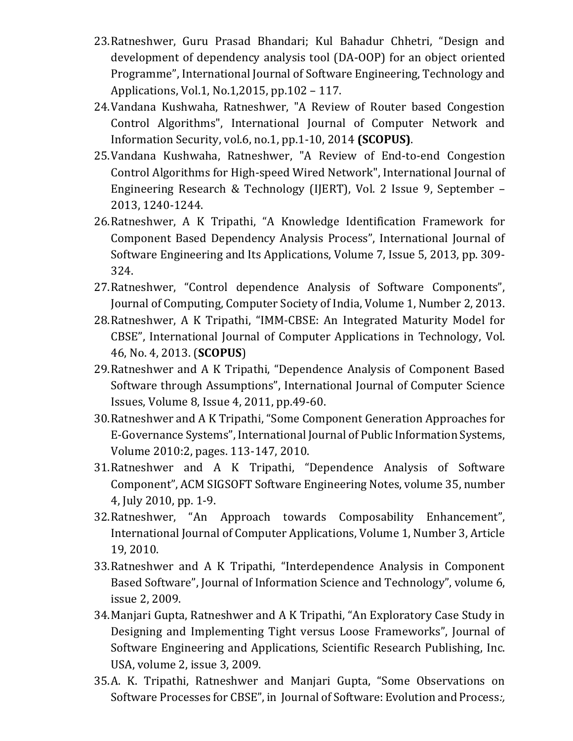- 23.Ratneshwer, Guru Prasad Bhandari; Kul Bahadur Chhetri, "Design and development of dependency analysis tool (DA-OOP) for an object oriented Programme", International Journal of Software Engineering, Technology and Applications, Vol.1, No.1,2015, pp.102 – 117.
- 24.Vandana Kushwaha, Ratneshwer, "A Review of Router based Congestion Control Algorithms", International Journal of Computer Network and Information Security, vol.6, no.1, pp.1-10, 2014 **(SCOPUS)**.
- 25.Vandana Kushwaha, Ratneshwer, "A Review of End-to-end Congestion Control Algorithms for High-speed Wired Network", International Journal of Engineering Research & Technology (IJERT), Vol. 2 Issue 9, September – 2013, 1240-1244.
- 26.Ratneshwer, A K Tripathi, "A Knowledge Identification Framework for Component Based Dependency Analysis Process", International Journal of Software Engineering and Its Applications, Volume 7, Issue 5, 2013, pp. 309- 324.
- 27.Ratneshwer, "Control dependence Analysis of Software Components", Journal of Computing, Computer Society of India, Volume 1, Number 2, 2013.
- 28.Ratneshwer, A K Tripathi, "IMM-CBSE: An Integrated Maturity Model for CBSE", International Journal of Computer Applications in Technology, Vol. 46, No. 4, 2013. (**SCOPUS**)
- 29.Ratneshwer and A K Tripathi, "Dependence Analysis of Component Based Software through Assumptions", International Journal of Computer Science Issues, Volume 8, Issue 4, 2011, pp.49-60.
- 30.Ratneshwer and A K Tripathi, "Some Component Generation Approaches for E-Governance Systems", International Journal of Public Information Systems, Volume 2010:2, pages. 113-147, 2010.
- 31.Ratneshwer and A K Tripathi, "Dependence Analysis of Software Component", ACM SIGSOFT Software Engineering Notes, volume 35, number 4, July 2010, pp. 1-9.
- 32.Ratneshwer, "An Approach towards Composability Enhancement", International Journal of Computer Applications, Volume 1, Number 3, Article 19, 2010.
- 33.Ratneshwer and A K Tripathi, "Interdependence Analysis in Component Based Software", Journal of Information Science and Technology", volume 6, issue 2, 2009.
- 34.Manjari Gupta, Ratneshwer and A K Tripathi, "An Exploratory Case Study in Designing and Implementing Tight versus Loose Frameworks", Journal of Software Engineering and Applications, Scientific Research Publishing, Inc. USA, volume 2, issue 3, 2009.
- 35.A. K. Tripathi, Ratneshwer and Manjari Gupta, "Some Observations on Software Processes for CBSE", in Journal of Software: Evolution and Process*:,*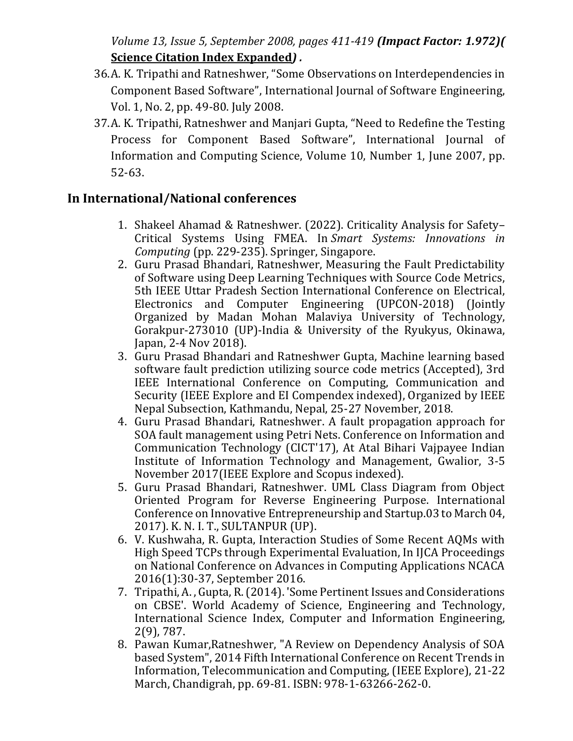*Volume 13, Issue 5, September 2008, pages 411-419 (Impact Factor: 1.972)(* **[Science Citation Index Expanded](https://en.wikipedia.org/wiki/Science_Citation_Index_Expanded)***) .*

- 36.A. K. Tripathi and Ratneshwer, "Some Observations on Interdependencies in Component Based Software", International Journal of Software Engineering, Vol. 1, No. 2, pp. 49-80. July 2008.
- 37.A. K. Tripathi, Ratneshwer and Manjari Gupta, "Need to Redefine the Testing Process for Component Based Software", International Journal of Information and Computing Science, Volume 10, Number 1, June 2007, pp. 52-63.

#### **In International/National conferences**

- 1. Shakeel Ahamad & Ratneshwer. (2022). Criticality Analysis for Safety– Critical Systems Using FMEA. In *Smart Systems: Innovations in Computing* (pp. 229-235). Springer, Singapore.
- 2. Guru Prasad Bhandari, Ratneshwer, Measuring the Fault Predictability of Software using Deep Learning Techniques with Source Code Metrics, 5th IEEE Uttar Pradesh Section International Conference on Electrical, Electronics and Computer Engineering (UPCON-2018) (Jointly Organized by Madan Mohan Malaviya University of Technology, Gorakpur-273010 (UP)-India & University of the Ryukyus, Okinawa, Japan, 2-4 Nov 2018).
- 3. Guru Prasad Bhandari and Ratneshwer Gupta, Machine learning based software fault prediction utilizing source code metrics (Accepted), 3rd IEEE International Conference on Computing, Communication and Security (IEEE Explore and EI Compendex indexed), Organized by IEEE Nepal Subsection, Kathmandu, Nepal, 25-27 November, 2018.
- 4. Guru Prasad Bhandari, Ratneshwer. A fault propagation approach for SOA fault management using Petri Nets. Conference on Information and Communication Technology (CICT'17), At Atal Bihari Vajpayee Indian Institute of Information Technology and Management, Gwalior, 3-5 November 2017(IEEE Explore and Scopus indexed).
- 5. Guru Prasad Bhandari, Ratneshwer. UML Class Diagram from Object Oriented Program for Reverse Engineering Purpose. International Conference on Innovative Entrepreneurship and Startup.03 to March 04, 2017). K. N. I. T., SULTANPUR (UP).
- 6. V. Kushwaha, R. Gupta, Interaction Studies of Some Recent AQMs with High Speed TCPs through Experimental Evaluation, In IJCA Proceedings on National Conference on Advances in Computing Applications NCACA 2016(1):30-37, September 2016.
- 7. Tripathi, A. , Gupta, R. (2014). 'Some Pertinent Issues and Considerations on CBSE'. World Academy of Science, Engineering and Technology, International Science Index, Computer and Information Engineering, 2(9), 787.
- 8. Pawan Kumar,Ratneshwer, "A Review on Dependency Analysis of SOA based System", 2014 Fifth International Conference on Recent Trends in Information, Telecommunication and Computing, (IEEE Explore), 21-22 March, Chandigrah, pp. 69-81. ISBN: 978-1-63266-262-0.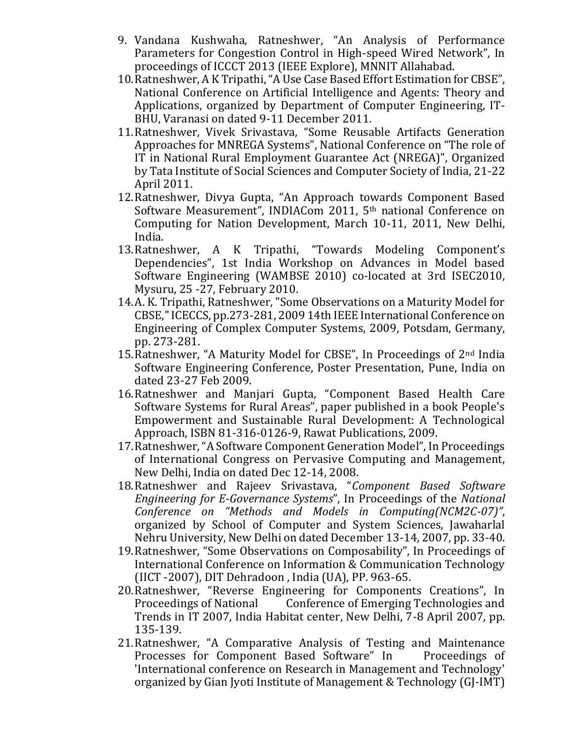- 9. Vandana Kushwaha, Ratneshwer, "An Analysis of Performance Parameters for Congestion Control in High-speed Wired Network", In proceedings of ICCCT 2013 (IEEE Explore), MNNIT Allahabad.
- 10.Ratneshwer, A K Tripathi, "A Use Case Based Effort Estimation for CBSE", National Conference on Artificial Intelligence and Agents: Theory and Applications, organized by Department of Computer Engineering, IT-BHU, Varanasi on dated 9-11 December 2011.
- 11.Ratneshwer, Vivek Srivastava, "Some Reusable Artifacts Generation Approaches for MNREGA Systems", National Conference on "The role of IT in National Rural Employment Guarantee Act (NREGA)", Organized by Tata Institute of Social Sciences and Computer Society of India, 21-22 April 2011.
- 12.Ratneshwer, Divya Gupta, "An Approach towards Component Based Software Measurement", INDIACom 2011, 5th national Conference on Computing for Nation Development, March 10-11, 2011, New Delhi, India.
- 13.Ratneshwer, A K Tripathi, "Towards Modeling Component's Dependencies", 1st India Workshop on Advances in Model based Software Engineering (WAMBSE 2010) co-located at 3rd ISEC2010, Mysuru, 25 -27, February 2010.
- 14.A. K. Tripathi, Ratneshwer, "Some Observations on a Maturity Model for CBSE," ICECCS, pp.273-281, 2009 14th IEEE International Conference on Engineering of Complex Computer Systems, 2009, Potsdam, Germany, pp. 273-281.
- 15.Ratneshwer, "A Maturity Model for CBSE", In Proceedings of 2nd India Software Engineering Conference, Poster Presentation, Pune, India on dated 23-27 Feb 2009.
- 16.Ratneshwer and Manjari Gupta, "Component Based Health Care Software Systems for Rural Areas", paper published in a book People's Empowerment and Sustainable Rural Development: A Technological Approach, ISBN 81-316-0126-9, Rawat Publications, 2009.
- 17.Ratneshwer, "A Software Component Generation Model", In Proceedings of International Congress on Pervasive Computing and Management, New Delhi, India on dated Dec 12-14, 2008.
- 18.Ratneshwer and Rajeev Srivastava, "*Component Based Software Engineering for E-Governance Systems*", In Proceedings of the *National Conference on "Methods and Models in Computing(NCM2C-07)"*, organized by School of Computer and System Sciences, Jawaharlal Nehru University, New Delhi on dated December 13-14, 2007, pp. 33-40.
- 19.Ratneshwer, "Some Observations on Composability", In Proceedings of International Conference on Information & Communication Technology (IICT -2007), DIT Dehradoon , India (UA), PP. 963-65.
- 20.Ratneshwer, "Reverse Engineering for Components Creations", In Proceedings of National Conference of Emerging Technologies and Trends in IT 2007, India Habitat center, New Delhi, 7-8 April 2007, pp. 135-139.
- 21.Ratneshwer, "A Comparative Analysis of Testing and Maintenance Processes for Component Based Software" In Proceedings of 'International conference on Research in Management and Technology' organized by Gian Jyoti Institute of Management & Technology (GJ-IMT)